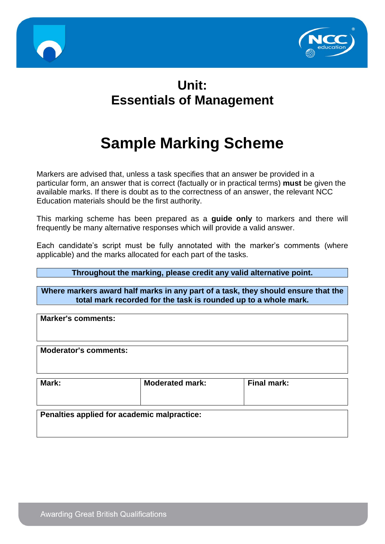



# **Unit: Essentials of Management**

# **Sample Marking Scheme**

Markers are advised that, unless a task specifies that an answer be provided in a particular form, an answer that is correct (factually or in practical terms) **must** be given the available marks. If there is doubt as to the correctness of an answer, the relevant NCC Education materials should be the first authority.

This marking scheme has been prepared as a **guide only** to markers and there will frequently be many alternative responses which will provide a valid answer.

Each candidate's script must be fully annotated with the marker's comments (where applicable) and the marks allocated for each part of the tasks.

#### **Throughout the marking, please credit any valid alternative point.**

**Where markers award half marks in any part of a task, they should ensure that the total mark recorded for the task is rounded up to a whole mark.**

**Marker's comments:**

**Moderator's comments:**

| Mark:                                       | <b>Moderated mark:</b> | <b>Final mark:</b> |  |  |  |  |
|---------------------------------------------|------------------------|--------------------|--|--|--|--|
| Penalties applied for academic malpractice: |                        |                    |  |  |  |  |

**Awarding Great British Qualifications**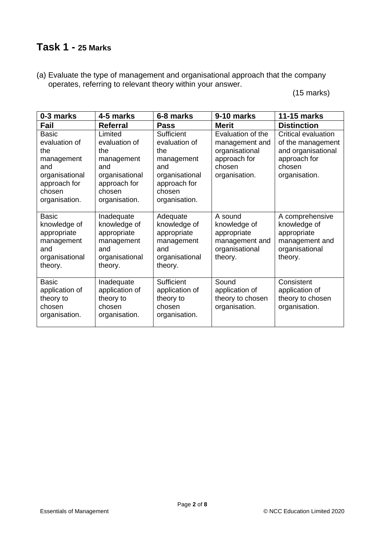# **Task 1 - 25 Marks**

(a) Evaluate the type of management and organisational approach that the company operates, referring to relevant theory within your answer.

(15 marks)

| 0-3 marks                                                                                                              | 4-5 marks                                                                                                         | 6-8 marks                                                                                                            | 9-10 marks                                                                                       | <b>11-15 marks</b>                                                                                        |
|------------------------------------------------------------------------------------------------------------------------|-------------------------------------------------------------------------------------------------------------------|----------------------------------------------------------------------------------------------------------------------|--------------------------------------------------------------------------------------------------|-----------------------------------------------------------------------------------------------------------|
| Fail                                                                                                                   | <b>Referral</b>                                                                                                   | <b>Pass</b>                                                                                                          | <b>Merit</b>                                                                                     | <b>Distinction</b>                                                                                        |
| <b>Basic</b><br>evaluation of<br>the<br>management<br>and<br>organisational<br>approach for<br>chosen<br>organisation. | Limited<br>evaluation of<br>the<br>management<br>and<br>organisational<br>approach for<br>chosen<br>organisation. | Sufficient<br>evaluation of<br>the<br>management<br>and<br>organisational<br>approach for<br>chosen<br>organisation. | Evaluation of the<br>management and<br>organisational<br>approach for<br>chosen<br>organisation. | Critical evaluation<br>of the management<br>and organisational<br>approach for<br>chosen<br>organisation. |
| <b>Basic</b><br>knowledge of<br>appropriate<br>management<br>and<br>organisational<br>theory.                          | Inadequate<br>knowledge of<br>appropriate<br>management<br>and<br>organisational<br>theory.                       | Adequate<br>knowledge of<br>appropriate<br>management<br>and<br>organisational<br>theory.                            | A sound<br>knowledge of<br>appropriate<br>management and<br>organisational<br>theory.            | A comprehensive<br>knowledge of<br>appropriate<br>management and<br>organisational<br>theory.             |
| <b>Basic</b><br>application of<br>theory to<br>chosen<br>organisation.                                                 | Inadequate<br>application of<br>theory to<br>chosen<br>organisation.                                              | Sufficient<br>application of<br>theory to<br>chosen<br>organisation.                                                 | Sound<br>application of<br>theory to chosen<br>organisation.                                     | Consistent<br>application of<br>theory to chosen<br>organisation.                                         |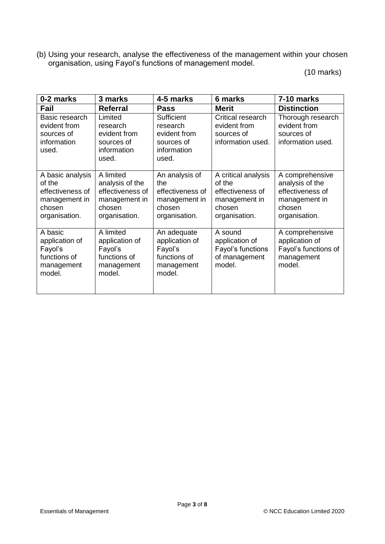(b) Using your research, analyse the effectiveness of the management within your chosen organisation, using Fayol's functions of management model.

(10 marks)

| 0-2 marks                                                                                  | 3 marks                                                                                      | 4-5 marks                                                                             | 6 marks                                                                                       | 7-10 marks                                                                                         |
|--------------------------------------------------------------------------------------------|----------------------------------------------------------------------------------------------|---------------------------------------------------------------------------------------|-----------------------------------------------------------------------------------------------|----------------------------------------------------------------------------------------------------|
| Fail                                                                                       | <b>Referral</b>                                                                              | <b>Pass</b>                                                                           | <b>Merit</b>                                                                                  | <b>Distinction</b>                                                                                 |
| Basic research<br>evident from<br>sources of<br>information<br>used.                       | Limited<br>research<br>evident from<br>sources of<br>information<br>used.                    | Sufficient<br>research<br>evident from<br>sources of<br>information<br>used.          | Critical research<br>evident from<br>sources of<br>information used.                          | Thorough research<br>evident from<br>sources of<br>information used.                               |
| A basic analysis<br>of the<br>effectiveness of<br>management in<br>chosen<br>organisation. | A limited<br>analysis of the<br>effectiveness of<br>management in<br>chosen<br>organisation. | An analysis of<br>the<br>effectiveness of<br>management in<br>chosen<br>organisation. | A critical analysis<br>of the<br>effectiveness of<br>management in<br>chosen<br>organisation. | A comprehensive<br>analysis of the<br>effectiveness of<br>management in<br>chosen<br>organisation. |
| A basic<br>application of<br>Fayol's<br>functions of<br>management<br>model.               | A limited<br>application of<br>Fayol's<br>functions of<br>management<br>model.               | An adequate<br>application of<br>Fayol's<br>functions of<br>management<br>model.      | A sound<br>application of<br>Fayol's functions<br>of management<br>model.                     | A comprehensive<br>application of<br>Fayol's functions of<br>management<br>model.                  |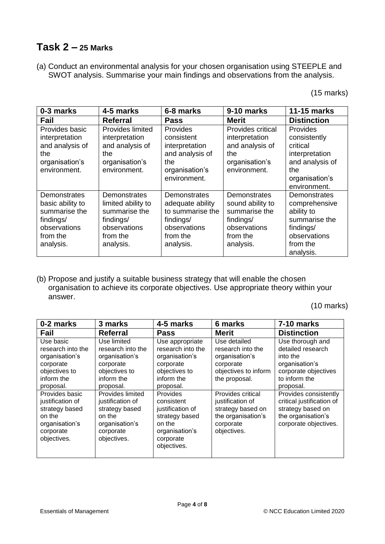# **Task 2 – 25 Marks**

(a) Conduct an environmental analysis for your chosen organisation using STEEPLE and SWOT analysis. Summarise your main findings and observations from the analysis.

(15 marks)

| 0-3 marks                                                                                               | 4-5 marks                                                                                                 | 6-8 marks                                                                                                  | 9-10 marks                                                                                              | 11-15 marks                                                                                                        |
|---------------------------------------------------------------------------------------------------------|-----------------------------------------------------------------------------------------------------------|------------------------------------------------------------------------------------------------------------|---------------------------------------------------------------------------------------------------------|--------------------------------------------------------------------------------------------------------------------|
| Fail                                                                                                    | <b>Referral</b>                                                                                           | <b>Pass</b>                                                                                                | <b>Merit</b>                                                                                            | <b>Distinction</b>                                                                                                 |
| Provides basic<br>interpretation<br>and analysis of<br>the<br>organisation's<br>environment.            | Provides limited<br>interpretation<br>and analysis of<br>the<br>organisation's<br>environment.            | Provides<br>consistent<br>interpretation<br>and analysis of<br>the<br>organisation's<br>environment.       | Provides critical<br>interpretation<br>and analysis of<br>the<br>organisation's<br>environment.         | Provides<br>consistently<br>critical<br>interpretation<br>and analysis of<br>the<br>organisation's<br>environment. |
| Demonstrates<br>basic ability to<br>summarise the<br>findings/<br>observations<br>from the<br>analysis. | Demonstrates<br>limited ability to<br>summarise the<br>findings/<br>observations<br>from the<br>analysis. | Demonstrates<br>adequate ability<br>to summarise the<br>findings/<br>observations<br>from the<br>analysis. | Demonstrates<br>sound ability to<br>summarise the<br>findings/<br>observations<br>from the<br>analysis. | Demonstrates<br>comprehensive<br>ability to<br>summarise the<br>findings/<br>observations<br>from the<br>analysis. |

(b) Propose and justify a suitable business strategy that will enable the chosen organisation to achieve its corporate objectives. Use appropriate theory within your answer.

(10 marks)

| 0-2 marks                                                                                                                                                                                                  | 3 marks                                                                                                                                                                                                        | 4-5 marks                                                                                                                                                                                                          | 6 marks                                                                                                                                                                                                                   | 7-10 marks                                                                                                                                                                                                                                          |
|------------------------------------------------------------------------------------------------------------------------------------------------------------------------------------------------------------|----------------------------------------------------------------------------------------------------------------------------------------------------------------------------------------------------------------|--------------------------------------------------------------------------------------------------------------------------------------------------------------------------------------------------------------------|---------------------------------------------------------------------------------------------------------------------------------------------------------------------------------------------------------------------------|-----------------------------------------------------------------------------------------------------------------------------------------------------------------------------------------------------------------------------------------------------|
| Fail                                                                                                                                                                                                       | <b>Referral</b>                                                                                                                                                                                                | <b>Pass</b>                                                                                                                                                                                                        | <b>Merit</b>                                                                                                                                                                                                              | <b>Distinction</b>                                                                                                                                                                                                                                  |
| Use basic<br>research into the<br>organisation's<br>corporate<br>objectives to<br>inform the<br>proposal.<br>Provides basic<br>justification of<br>strategy based<br>on the<br>organisation's<br>corporate | Use limited<br>research into the<br>organisation's<br>corporate<br>objectives to<br>inform the<br>proposal.<br>Provides limited<br>justification of<br>strategy based<br>on the<br>organisation's<br>corporate | Use appropriate<br>research into the<br>organisation's<br>corporate<br>objectives to<br>inform the<br>proposal.<br><b>Provides</b><br>consistent<br>justification of<br>strategy based<br>on the<br>organisation's | Use detailed<br>research into the<br>organisation's<br>corporate<br>objectives to inform<br>the proposal.<br>Provides critical<br>justification of<br>strategy based on<br>the organisation's<br>corporate<br>objectives. | Use thorough and<br>detailed research<br>into the<br>organisation's<br>corporate objectives<br>to inform the<br>proposal.<br>Provides consistently<br>critical justification of<br>strategy based on<br>the organisation's<br>corporate objectives. |
| objectives.                                                                                                                                                                                                | objectives.                                                                                                                                                                                                    | corporate<br>objectives.                                                                                                                                                                                           |                                                                                                                                                                                                                           |                                                                                                                                                                                                                                                     |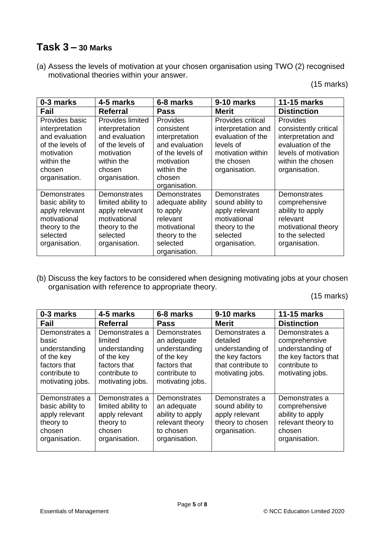# **Task 3 – 30 Marks**

(a) Assess the levels of motivation at your chosen organisation using TWO (2) recognised motivational theories within your answer.

(15 marks)

| 0-3 marks                                                                                                                     | 4-5 marks                                                                                                                       | 6-8 marks                                                                                                                                    | 9-10 marks                                                                                                                    | <b>11-15 marks</b>                                                                                                                         |
|-------------------------------------------------------------------------------------------------------------------------------|---------------------------------------------------------------------------------------------------------------------------------|----------------------------------------------------------------------------------------------------------------------------------------------|-------------------------------------------------------------------------------------------------------------------------------|--------------------------------------------------------------------------------------------------------------------------------------------|
| Fail                                                                                                                          | <b>Referral</b>                                                                                                                 | <b>Pass</b>                                                                                                                                  | <b>Merit</b>                                                                                                                  | <b>Distinction</b>                                                                                                                         |
| Provides basic<br>interpretation<br>and evaluation<br>of the levels of<br>motivation<br>within the<br>chosen<br>organisation. | Provides limited<br>interpretation<br>and evaluation<br>of the levels of<br>motivation<br>within the<br>chosen<br>organisation. | <b>Provides</b><br>consistent<br>interpretation<br>and evaluation<br>of the levels of<br>motivation<br>within the<br>chosen<br>organisation. | Provides critical<br>interpretation and<br>evaluation of the<br>levels of<br>motivation within<br>the chosen<br>organisation. | Provides<br>consistently critical<br>interpretation and<br>evaluation of the<br>levels of motivation<br>within the chosen<br>organisation. |
| Demonstrates<br>basic ability to<br>apply relevant<br>motivational<br>theory to the<br>selected<br>organisation.              | Demonstrates<br>limited ability to<br>apply relevant<br>motivational<br>theory to the<br>selected<br>organisation.              | <b>Demonstrates</b><br>adequate ability<br>to apply<br>relevant<br>motivational<br>theory to the<br>selected<br>organisation.                | Demonstrates<br>sound ability to<br>apply relevant<br>motivational<br>theory to the<br>selected<br>organisation.              | Demonstrates<br>comprehensive<br>ability to apply<br>relevant<br>motivational theory<br>to the selected<br>organisation.                   |

(b) Discuss the key factors to be considered when designing motivating jobs at your chosen organisation with reference to appropriate theory.

(15 marks)

| 0-3 marks                                                                                                   | 4-5 marks                                                                                                     | 6-8 marks                                                                                                       | 9-10 marks                                                                                                  | <b>11-15 marks</b>                                                                                               |
|-------------------------------------------------------------------------------------------------------------|---------------------------------------------------------------------------------------------------------------|-----------------------------------------------------------------------------------------------------------------|-------------------------------------------------------------------------------------------------------------|------------------------------------------------------------------------------------------------------------------|
| Fail                                                                                                        | <b>Referral</b>                                                                                               | <b>Pass</b>                                                                                                     | <b>Merit</b>                                                                                                | <b>Distinction</b>                                                                                               |
| Demonstrates a<br>basic<br>understanding<br>of the key<br>factors that<br>contribute to<br>motivating jobs. | Demonstrates a<br>limited<br>understanding<br>of the key<br>factors that<br>contribute to<br>motivating jobs. | Demonstrates<br>an adequate<br>understanding<br>of the key<br>factors that<br>contribute to<br>motivating jobs. | Demonstrates a<br>detailed<br>understanding of<br>the key factors<br>that contribute to<br>motivating jobs. | Demonstrates a<br>comprehensive<br>understanding of<br>the key factors that<br>contribute to<br>motivating jobs. |
| Demonstrates a<br>basic ability to<br>apply relevant<br>theory to<br>chosen<br>organisation.                | Demonstrates a<br>limited ability to<br>apply relevant<br>theory to<br>chosen<br>organisation.                | Demonstrates<br>an adequate<br>ability to apply<br>relevant theory<br>to chosen<br>organisation.                | Demonstrates a<br>sound ability to<br>apply relevant<br>theory to chosen<br>organisation.                   | Demonstrates a<br>comprehensive<br>ability to apply<br>relevant theory to<br>chosen<br>organisation.             |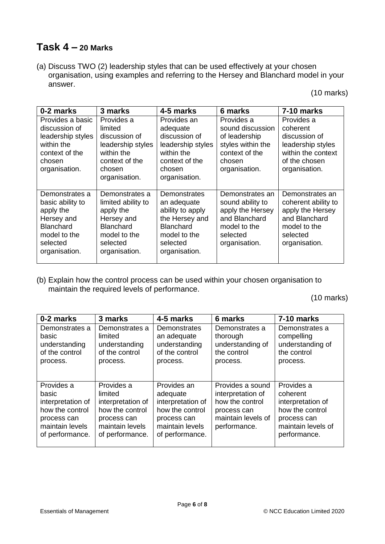### **Task 4 – 20 Marks**

(a) Discuss TWO (2) leadership styles that can be used effectively at your chosen organisation, using examples and referring to the Hersey and Blanchard model in your answer.

(10 marks)

| 0-2 marks                                                                                                                      | 3 marks                                                                                                                          | 4-5 marks                                                                                                                          | 6 marks                                                                                                               | 7-10 marks                                                                                                               |
|--------------------------------------------------------------------------------------------------------------------------------|----------------------------------------------------------------------------------------------------------------------------------|------------------------------------------------------------------------------------------------------------------------------------|-----------------------------------------------------------------------------------------------------------------------|--------------------------------------------------------------------------------------------------------------------------|
| Provides a basic<br>discussion of<br>leadership styles<br>within the<br>context of the<br>chosen<br>organisation.              | Provides a<br>limited<br>discussion of<br>leadership styles<br>within the<br>context of the<br>chosen<br>organisation.           | Provides an<br>adequate<br>discussion of<br>leadership styles<br>within the<br>context of the<br>chosen<br>organisation.           | Provides a<br>sound discussion<br>of leadership<br>styles within the<br>context of the<br>chosen<br>organisation.     | Provides a<br>coherent<br>discussion of<br>leadership styles<br>within the context<br>of the chosen<br>organisation.     |
| Demonstrates a<br>basic ability to<br>apply the<br>Hersey and<br><b>Blanchard</b><br>model to the<br>selected<br>organisation. | Demonstrates a<br>limited ability to<br>apply the<br>Hersey and<br><b>Blanchard</b><br>model to the<br>selected<br>organisation. | Demonstrates<br>an adequate<br>ability to apply<br>the Hersey and<br><b>Blanchard</b><br>model to the<br>selected<br>organisation. | Demonstrates an<br>sound ability to<br>apply the Hersey<br>and Blanchard<br>model to the<br>selected<br>organisation. | Demonstrates an<br>coherent ability to<br>apply the Hersey<br>and Blanchard<br>model to the<br>selected<br>organisation. |

(b) Explain how the control process can be used within your chosen organisation to maintain the required levels of performance.

(10 marks)

| 0-2 marks                                                                                                        | 3 marks                                                                                                            | 4-5 marks                                                                                                            | 6 marks                                                                                                       | 7-10 marks                                                                                                          |
|------------------------------------------------------------------------------------------------------------------|--------------------------------------------------------------------------------------------------------------------|----------------------------------------------------------------------------------------------------------------------|---------------------------------------------------------------------------------------------------------------|---------------------------------------------------------------------------------------------------------------------|
| Demonstrates a<br>basic<br>understanding<br>of the control<br>process.                                           | Demonstrates a<br>limited<br>understanding<br>of the control<br>process.                                           | Demonstrates<br>an adequate<br>understanding<br>of the control<br>process.                                           | Demonstrates a<br>thorough<br>understanding of<br>the control<br>process.                                     | Demonstrates a<br>compelling<br>understanding of<br>the control<br>process.                                         |
| Provides a<br>basic<br>interpretation of<br>how the control<br>process can<br>maintain levels<br>of performance. | Provides a<br>limited<br>interpretation of<br>how the control<br>process can<br>maintain levels<br>of performance. | Provides an<br>adequate<br>interpretation of<br>how the control<br>process can<br>maintain levels<br>of performance. | Provides a sound<br>interpretation of<br>how the control<br>process can<br>maintain levels of<br>performance. | Provides a<br>coherent<br>interpretation of<br>how the control<br>process can<br>maintain levels of<br>performance. |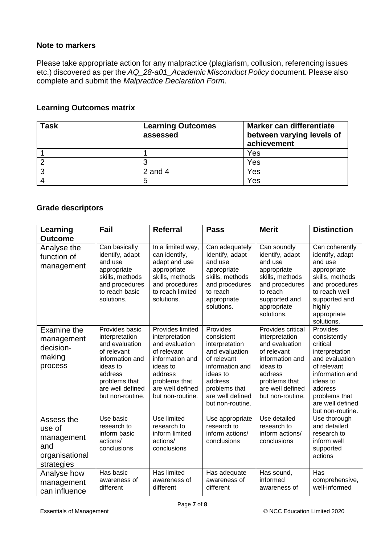#### **Note to markers**

Please take appropriate action for any malpractice (plagiarism, collusion, referencing issues etc.) discovered as per the *AQ\_28-a01\_Academic Misconduct Policy* document. Please also complete and submit the *Malpractice Declaration Form*.

#### **Learning Outcomes matrix**

| Task | <b>Learning Outcomes</b><br>assessed | Marker can differentiate<br>between varying levels of<br>achievement |
|------|--------------------------------------|----------------------------------------------------------------------|
|      |                                      | Yes                                                                  |
|      |                                      | Yes                                                                  |
| ◠    | 2 and $4$                            | Yes                                                                  |
|      |                                      | Yes                                                                  |

#### **Grade descriptors**

| Learning<br><b>Outcome</b>                                                | Fail                                                                                                                                                                 | <b>Referral</b>                                                                                                                                                        | <b>Pass</b>                                                                                                                                                                  | <b>Merit</b>                                                                                                                                                            | <b>Distinction</b>                                                                                                                                                                         |
|---------------------------------------------------------------------------|----------------------------------------------------------------------------------------------------------------------------------------------------------------------|------------------------------------------------------------------------------------------------------------------------------------------------------------------------|------------------------------------------------------------------------------------------------------------------------------------------------------------------------------|-------------------------------------------------------------------------------------------------------------------------------------------------------------------------|--------------------------------------------------------------------------------------------------------------------------------------------------------------------------------------------|
| Analyse the<br>function of<br>management                                  | Can basically<br>identify, adapt<br>and use<br>appropriate<br>skills, methods<br>and procedures<br>to reach basic<br>solutions.                                      | In a limited way,<br>can identify,<br>adapt and use<br>appropriate<br>skills, methods<br>and procedures<br>to reach limited<br>solutions.                              | Can adequately<br>Identify, adapt<br>and use<br>appropriate<br>skills, methods<br>and procedures<br>to reach<br>appropriate<br>solutions.                                    | Can soundly<br>identify, adapt<br>and use<br>appropriate<br>skills, methods<br>and procedures<br>to reach<br>supported and<br>appropriate<br>solutions.                 | Can coherently<br>identify, adapt<br>and use<br>appropriate<br>skills, methods<br>and procedures<br>to reach well<br>supported and<br>highly<br>appropriate<br>solutions.                  |
| Examine the<br>management<br>decision-<br>making<br>process               | Provides basic<br>interpretation<br>and evaluation<br>of relevant<br>information and<br>ideas to<br>address<br>problems that<br>are well defined<br>but non-routine. | Provides limited<br>interpretation<br>and evaluation<br>of relevant<br>information and<br>ideas to<br>address<br>problems that<br>are well defined<br>but non-routine. | Provides<br>consistent<br>interpretation<br>and evaluation<br>of relevant<br>information and<br>ideas to<br>address<br>problems that<br>are well defined<br>but non-routine. | Provides critical<br>interpretation<br>and evaluation<br>of relevant<br>information and<br>ideas to<br>address<br>problems that<br>are well defined<br>but non-routine. | Provides<br>consistently<br>critical<br>interpretation<br>and evaluation<br>of relevant<br>information and<br>ideas to<br>address<br>problems that<br>are well defined<br>but non-routine. |
| Assess the<br>use of<br>management<br>and<br>organisational<br>strategies | Use basic<br>research to<br>inform basic<br>actions/<br>conclusions                                                                                                  | <b>Use limited</b><br>research to<br>inform limited<br>actions/<br>conclusions                                                                                         | Use appropriate<br>research to<br>inform actions/<br>conclusions                                                                                                             | Use detailed<br>research to<br>inform actions/<br>conclusions                                                                                                           | Use thorough<br>and detailed<br>research to<br>inform well<br>supported<br>actions                                                                                                         |
| Analyse how<br>management<br>can influence                                | Has basic<br>awareness of<br>different                                                                                                                               | Has limited<br>awareness of<br>different                                                                                                                               | Has adequate<br>awareness of<br>different                                                                                                                                    | Has sound,<br>informed<br>awareness of                                                                                                                                  | Has<br>comprehensive,<br>well-informed                                                                                                                                                     |